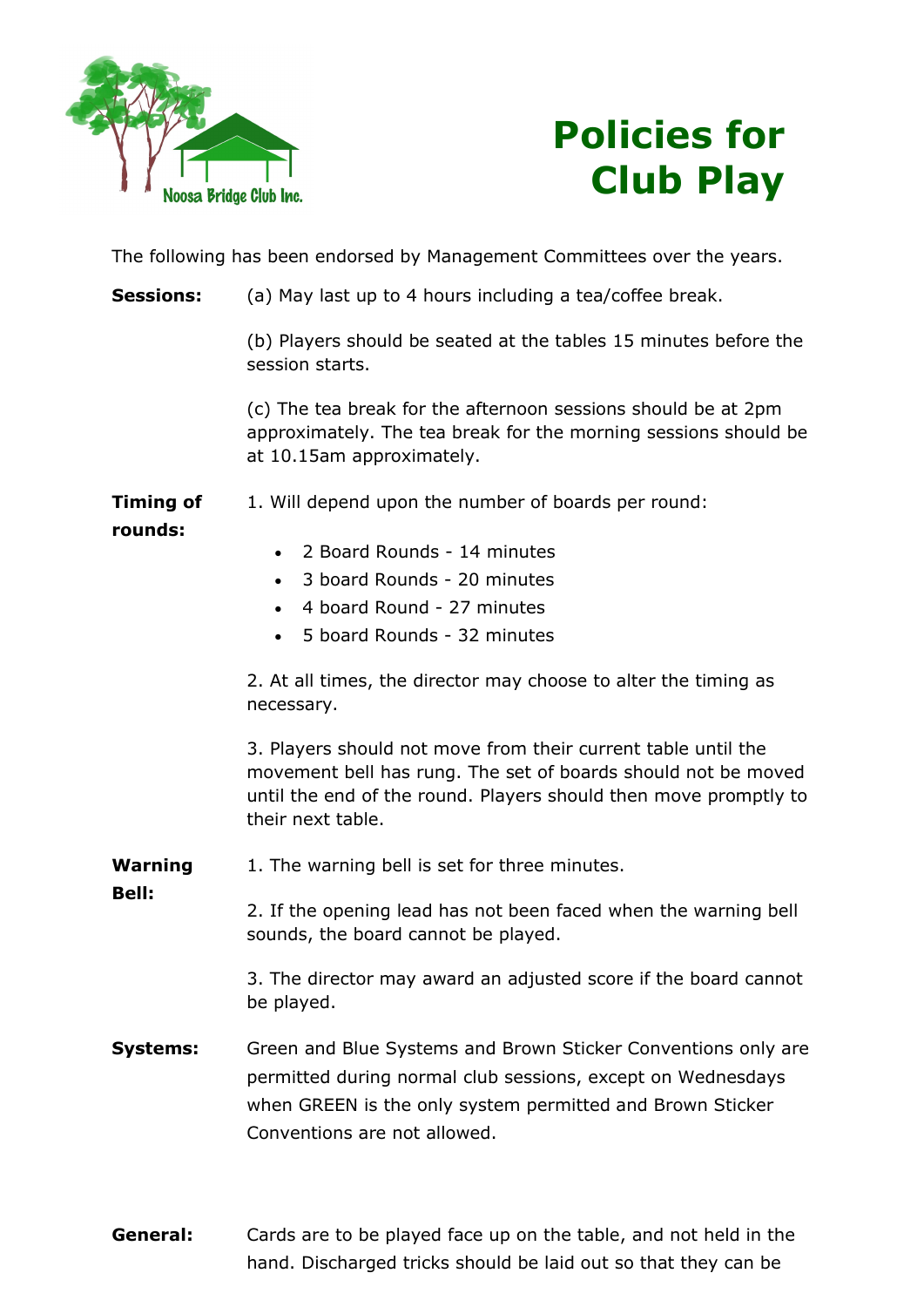



The following has been endorsed by Management Committees over the years.

**Sessions:** (a) May last up to 4 hours including a tea/coffee break.

(b) Players should be seated at the tables 15 minutes before the session starts.

(c) The tea break for the afternoon sessions should be at 2pm approximately. The tea break for the morning sessions should be at 10.15am approximately.

Timing of 1. Will depend upon the number of boards per round:

## rounds:

Bell:

- 2 Board Rounds 14 minutes
- 3 board Rounds 20 minutes
- 4 board Round 27 minutes
- 5 board Rounds 32 minutes

2. At all times, the director may choose to alter the timing as necessary.

3. Players should not move from their current table until the movement bell has rung. The set of boards should not be moved until the end of the round. Players should then move promptly to their next table.

Warning 1. The warning bell is set for three minutes.

> 2. If the opening lead has not been faced when the warning bell sounds, the board cannot be played.

3. The director may award an adjusted score if the board cannot be played.

- **Systems:** Green and Blue Systems and Brown Sticker Conventions only are permitted during normal club sessions, except on Wednesdays when GREEN is the only system permitted and Brown Sticker Conventions are not allowed.
- **General:** Cards are to be played face up on the table, and not held in the hand. Discharged tricks should be laid out so that they can be